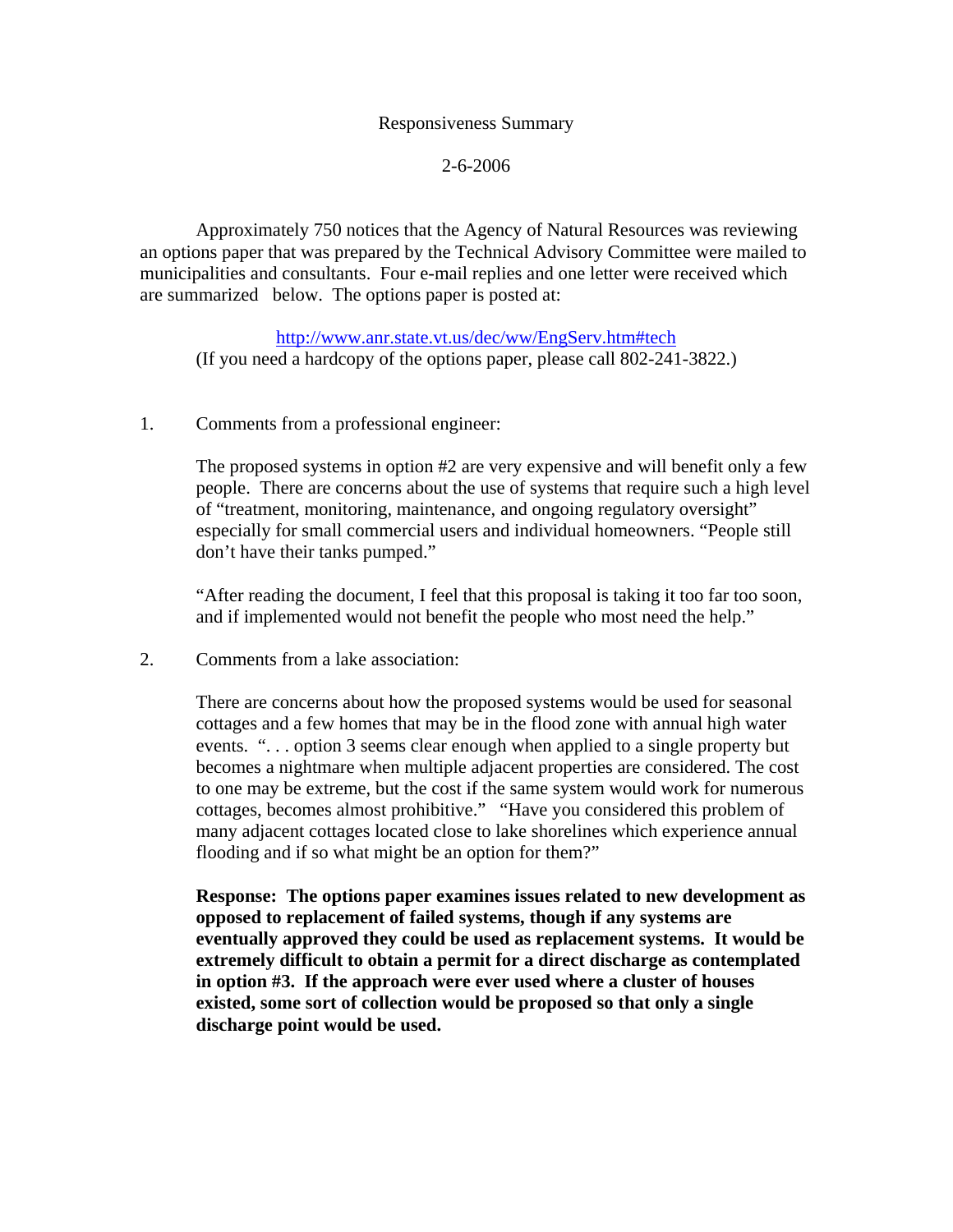## Responsiveness Summary

## 2-6-2006

 Approximately 750 notices that the Agency of Natural Resources was reviewing an options paper that was prepared by the Technical Advisory Committee were mailed to municipalities and consultants. Four e-mail replies and one letter were received which are summarized below. The options paper is posted at:

http://www.anr.state.vt.us/dec/ww/EngServ.htm#tech (If you need a hardcopy of the options paper, please call 802-241-3822.)

## 1. Comments from a professional engineer:

 The proposed systems in option #2 are very expensive and will benefit only a few people. There are concerns about the use of systems that require such a high level of "treatment, monitoring, maintenance, and ongoing regulatory oversight" especially for small commercial users and individual homeowners. "People still don't have their tanks pumped."

 "After reading the document, I feel that this proposal is taking it too far too soon, and if implemented would not benefit the people who most need the help."

2. Comments from a lake association:

 There are concerns about how the proposed systems would be used for seasonal cottages and a few homes that may be in the flood zone with annual high water events. ". . . option 3 seems clear enough when applied to a single property but becomes a nightmare when multiple adjacent properties are considered. The cost to one may be extreme, but the cost if the same system would work for numerous cottages, becomes almost prohibitive." "Have you considered this problem of many adjacent cottages located close to lake shorelines which experience annual flooding and if so what might be an option for them?"

**Response: The options paper examines issues related to new development as opposed to replacement of failed systems, though if any systems are eventually approved they could be used as replacement systems. It would be extremely difficult to obtain a permit for a direct discharge as contemplated in option #3. If the approach were ever used where a cluster of houses existed, some sort of collection would be proposed so that only a single discharge point would be used.**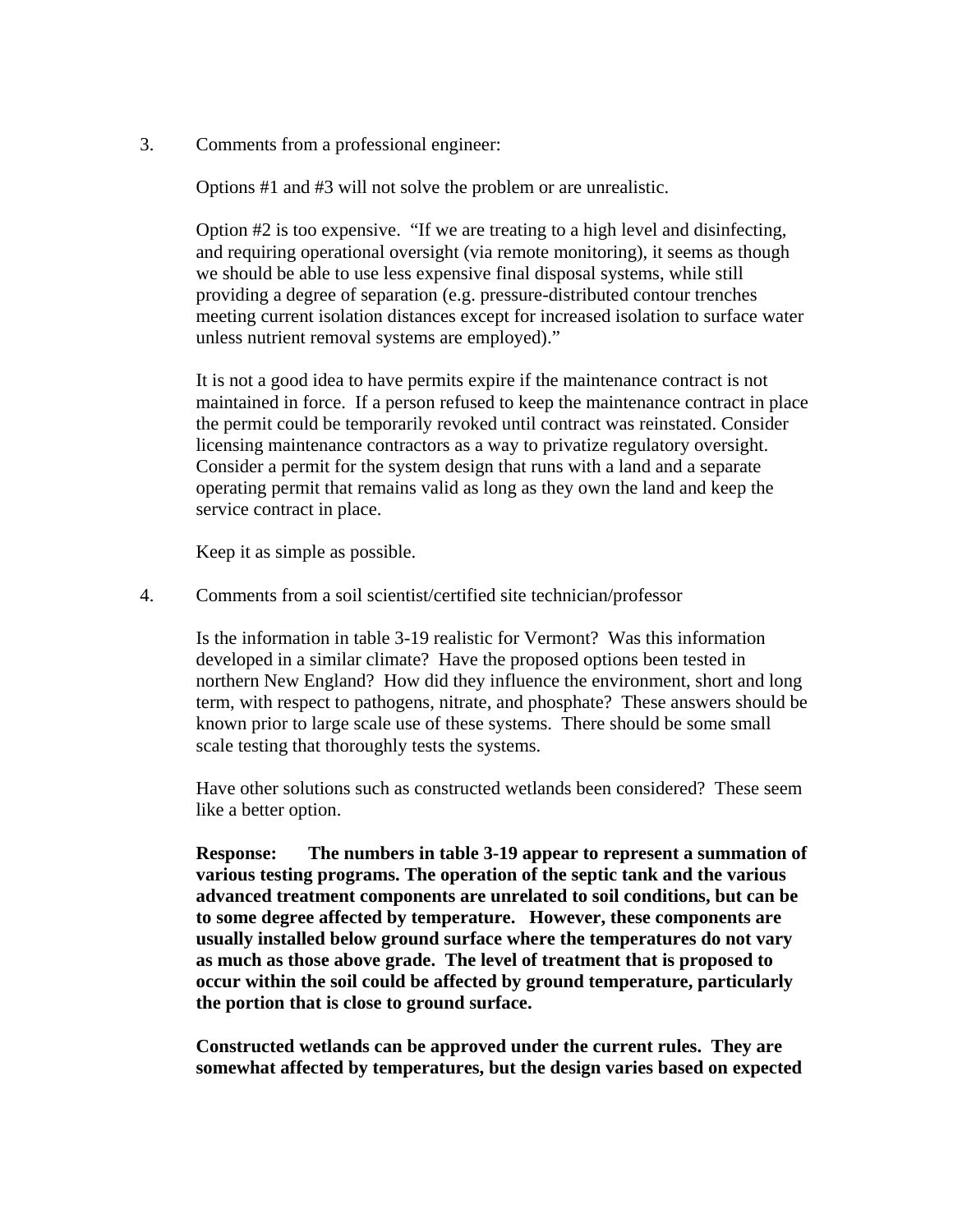3. Comments from a professional engineer:

Options #1 and #3 will not solve the problem or are unrealistic.

 Option #2 is too expensive. "If we are treating to a high level and disinfecting, and requiring operational oversight (via remote monitoring), it seems as though we should be able to use less expensive final disposal systems, while still providing a degree of separation (e.g. pressure-distributed contour trenches meeting current isolation distances except for increased isolation to surface water unless nutrient removal systems are employed)."

 It is not a good idea to have permits expire if the maintenance contract is not maintained in force. If a person refused to keep the maintenance contract in place the permit could be temporarily revoked until contract was reinstated. Consider licensing maintenance contractors as a way to privatize regulatory oversight. Consider a permit for the system design that runs with a land and a separate operating permit that remains valid as long as they own the land and keep the service contract in place.

Keep it as simple as possible.

4. Comments from a soil scientist/certified site technician/professor

 Is the information in table 3-19 realistic for Vermont? Was this information developed in a similar climate? Have the proposed options been tested in northern New England? How did they influence the environment, short and long term, with respect to pathogens, nitrate, and phosphate? These answers should be known prior to large scale use of these systems. There should be some small scale testing that thoroughly tests the systems.

 Have other solutions such as constructed wetlands been considered? These seem like a better option.

**Response: The numbers in table 3-19 appear to represent a summation of various testing programs. The operation of the septic tank and the various advanced treatment components are unrelated to soil conditions, but can be to some degree affected by temperature. However, these components are usually installed below ground surface where the temperatures do not vary as much as those above grade. The level of treatment that is proposed to occur within the soil could be affected by ground temperature, particularly the portion that is close to ground surface.** 

 **Constructed wetlands can be approved under the current rules. They are somewhat affected by temperatures, but the design varies based on expected**